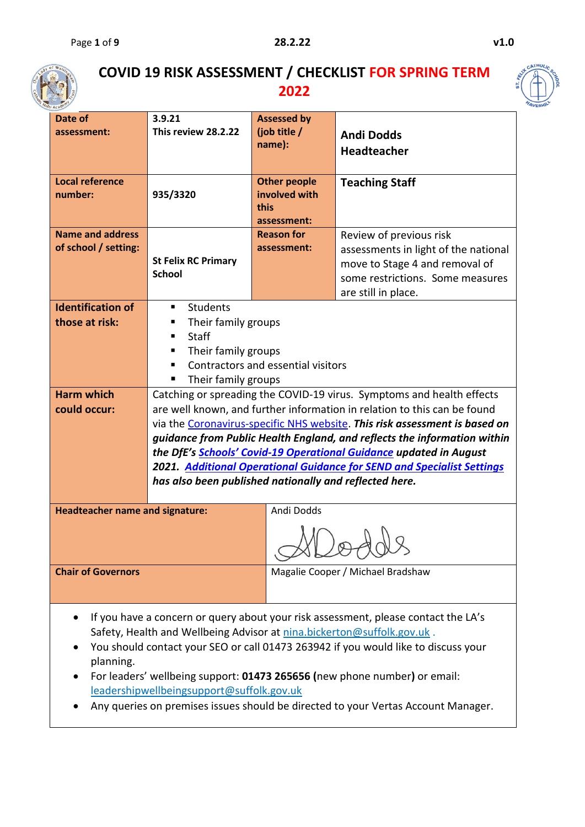

## **COVID 19 RISK ASSESSMENT / CHECKLIST FOR SPRING TERM 2022**



| Date of<br>assessment:                                                                                                                                                                                                                                                                                                                                                                                                                                                         | 3.9.21<br>This review 28.2.22                                                                                                                                | <b>Assessed by</b><br>(job title /<br>name):                | <b>Andi Dodds</b>                                                                                                                                                                                                                                                                                                                                                                                                                                                  |  |  |  |  |
|--------------------------------------------------------------------------------------------------------------------------------------------------------------------------------------------------------------------------------------------------------------------------------------------------------------------------------------------------------------------------------------------------------------------------------------------------------------------------------|--------------------------------------------------------------------------------------------------------------------------------------------------------------|-------------------------------------------------------------|--------------------------------------------------------------------------------------------------------------------------------------------------------------------------------------------------------------------------------------------------------------------------------------------------------------------------------------------------------------------------------------------------------------------------------------------------------------------|--|--|--|--|
|                                                                                                                                                                                                                                                                                                                                                                                                                                                                                |                                                                                                                                                              |                                                             | <b>Headteacher</b>                                                                                                                                                                                                                                                                                                                                                                                                                                                 |  |  |  |  |
| <b>Local reference</b><br>number:                                                                                                                                                                                                                                                                                                                                                                                                                                              | 935/3320                                                                                                                                                     | <b>Other people</b><br>involved with<br>this<br>assessment: | <b>Teaching Staff</b>                                                                                                                                                                                                                                                                                                                                                                                                                                              |  |  |  |  |
| <b>Name and address</b><br>of school / setting:                                                                                                                                                                                                                                                                                                                                                                                                                                | <b>St Felix RC Primary</b><br><b>School</b>                                                                                                                  | <b>Reason for</b><br>assessment:                            | Review of previous risk<br>assessments in light of the national<br>move to Stage 4 and removal of<br>some restrictions. Some measures<br>are still in place.                                                                                                                                                                                                                                                                                                       |  |  |  |  |
| <b>Identification of</b><br>those at risk:                                                                                                                                                                                                                                                                                                                                                                                                                                     | <b>Students</b><br>٠<br>Their family groups<br>п<br>Staff<br>п<br>Their family groups<br>п<br>Contractors and essential visitors<br>п<br>Their family groups |                                                             |                                                                                                                                                                                                                                                                                                                                                                                                                                                                    |  |  |  |  |
| <b>Harm which</b><br>could occur:                                                                                                                                                                                                                                                                                                                                                                                                                                              | has also been published nationally and reflected here.                                                                                                       |                                                             | Catching or spreading the COVID-19 virus. Symptoms and health effects<br>are well known, and further information in relation to this can be found<br>via the Coronavirus-specific NHS website. This risk assessment is based on<br>guidance from Public Health England, and reflects the information within<br>the DfE's Schools' Covid-19 Operational Guidance updated in August<br><b>2021.</b> Additional Operational Guidance for SEND and Specialist Settings |  |  |  |  |
| <b>Headteacher name and signature:</b>                                                                                                                                                                                                                                                                                                                                                                                                                                         |                                                                                                                                                              | Andi Dodds                                                  |                                                                                                                                                                                                                                                                                                                                                                                                                                                                    |  |  |  |  |
| <b>Chair of Governors</b>                                                                                                                                                                                                                                                                                                                                                                                                                                                      |                                                                                                                                                              |                                                             | Magalie Cooper / Michael Bradshaw                                                                                                                                                                                                                                                                                                                                                                                                                                  |  |  |  |  |
| If you have a concern or query about your risk assessment, please contact the LA's<br>Safety, Health and Wellbeing Advisor at nina.bickerton@suffolk.gov.uk.<br>You should contact your SEO or call 01473 263942 if you would like to discuss your<br>planning.<br>For leaders' wellbeing support: 01473 265656 (new phone number) or email:<br>leadershipwellbeingsupport@suffolk.gov.uk<br>Any queries on premises issues should be directed to your Vertas Account Manager. |                                                                                                                                                              |                                                             |                                                                                                                                                                                                                                                                                                                                                                                                                                                                    |  |  |  |  |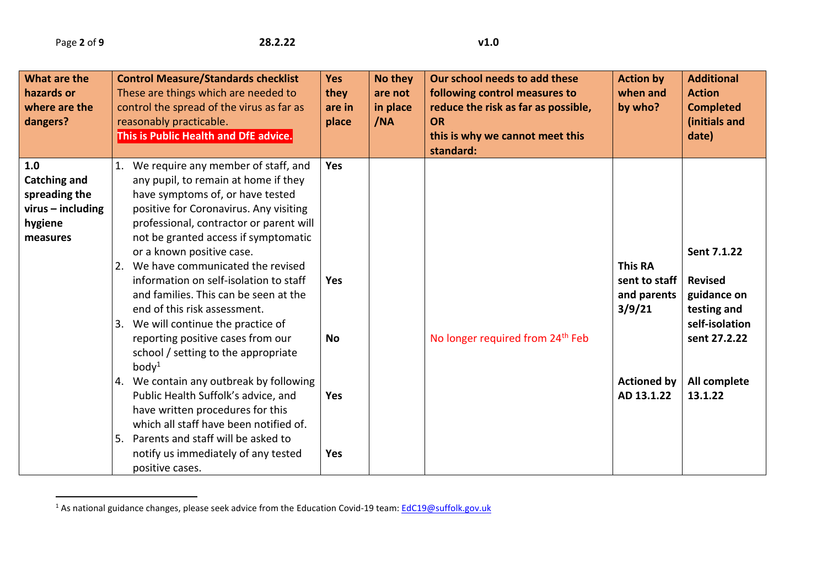$\overline{a}$ 

| What are the<br>hazards or<br>where are the<br>dangers?                                   | <b>Control Measure/Standards checklist</b><br>These are things which are needed to<br>control the spread of the virus as far as<br>reasonably practicable.<br>This is Public Health and DfE advice.                                                                                                                                                                                                                                                                                                                                                                                                                       | <b>Yes</b><br>they<br>are in<br>place | No they<br>are not<br>in place<br>/NA | Our school needs to add these<br>following control measures to<br>reduce the risk as far as possible,<br><b>OR</b><br>this is why we cannot meet this<br>standard: | <b>Action by</b><br>when and<br>by who?                                        | <b>Additional</b><br><b>Action</b><br><b>Completed</b><br>(initials and<br>date)                              |
|-------------------------------------------------------------------------------------------|---------------------------------------------------------------------------------------------------------------------------------------------------------------------------------------------------------------------------------------------------------------------------------------------------------------------------------------------------------------------------------------------------------------------------------------------------------------------------------------------------------------------------------------------------------------------------------------------------------------------------|---------------------------------------|---------------------------------------|--------------------------------------------------------------------------------------------------------------------------------------------------------------------|--------------------------------------------------------------------------------|---------------------------------------------------------------------------------------------------------------|
| 1.0<br><b>Catching and</b><br>spreading the<br>$virus$ – including<br>hygiene<br>measures | 1. We require any member of staff, and<br>any pupil, to remain at home if they<br>have symptoms of, or have tested<br>positive for Coronavirus. Any visiting<br>professional, contractor or parent will<br>not be granted access if symptomatic<br>or a known positive case.<br>2. We have communicated the revised<br>information on self-isolation to staff<br>and families. This can be seen at the<br>end of this risk assessment.<br>3. We will continue the practice of<br>reporting positive cases from our<br>school / setting to the appropriate<br>body <sup>1</sup><br>4. We contain any outbreak by following | Yes<br><b>Yes</b><br><b>No</b>        |                                       | No longer required from 24 <sup>th</sup> Feb                                                                                                                       | <b>This RA</b><br>sent to staff<br>and parents<br>3/9/21<br><b>Actioned by</b> | Sent 7.1.22<br><b>Revised</b><br>guidance on<br>testing and<br>self-isolation<br>sent 27.2.22<br>All complete |
|                                                                                           | Public Health Suffolk's advice, and<br>have written procedures for this<br>which all staff have been notified of.<br>Parents and staff will be asked to<br>5.<br>notify us immediately of any tested<br>positive cases.                                                                                                                                                                                                                                                                                                                                                                                                   | Yes<br>Yes                            |                                       |                                                                                                                                                                    | AD 13.1.22                                                                     | 13.1.22                                                                                                       |

<sup>&</sup>lt;sup>1</sup> As national guidance changes, please seek advice from the Education Covid-19 team: [EdC19@suffolk.gov.uk](mailto:EdC19@suffolk.gov.uk)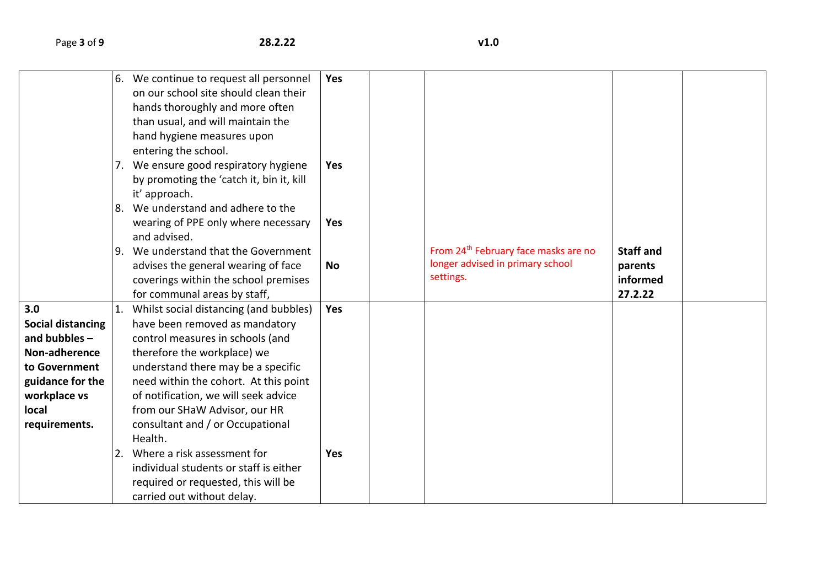|                          | 6. | We continue to request all personnel     | <b>Yes</b> |                                                  |                  |  |
|--------------------------|----|------------------------------------------|------------|--------------------------------------------------|------------------|--|
|                          |    | on our school site should clean their    |            |                                                  |                  |  |
|                          |    | hands thoroughly and more often          |            |                                                  |                  |  |
|                          |    | than usual, and will maintain the        |            |                                                  |                  |  |
|                          |    | hand hygiene measures upon               |            |                                                  |                  |  |
|                          |    | entering the school.                     |            |                                                  |                  |  |
|                          |    | 7. We ensure good respiratory hygiene    | <b>Yes</b> |                                                  |                  |  |
|                          |    | by promoting the 'catch it, bin it, kill |            |                                                  |                  |  |
|                          |    | it' approach.                            |            |                                                  |                  |  |
|                          | 8. | We understand and adhere to the          |            |                                                  |                  |  |
|                          |    | wearing of PPE only where necessary      | Yes        |                                                  |                  |  |
|                          |    | and advised.                             |            |                                                  |                  |  |
|                          | 9. | We understand that the Government        |            | From 24 <sup>th</sup> February face masks are no | <b>Staff and</b> |  |
|                          |    | advises the general wearing of face      | No         | longer advised in primary school                 | parents          |  |
|                          |    | coverings within the school premises     |            | settings.                                        | informed         |  |
|                          |    | for communal areas by staff,             |            |                                                  | 27.2.22          |  |
| 3.0                      |    | Whilst social distancing (and bubbles)   | Yes        |                                                  |                  |  |
| <b>Social distancing</b> |    | have been removed as mandatory           |            |                                                  |                  |  |
| and bubbles $-$          |    | control measures in schools (and         |            |                                                  |                  |  |
| Non-adherence            |    | therefore the workplace) we              |            |                                                  |                  |  |
| to Government            |    | understand there may be a specific       |            |                                                  |                  |  |
| guidance for the         |    | need within the cohort. At this point    |            |                                                  |                  |  |
| workplace vs             |    | of notification, we will seek advice     |            |                                                  |                  |  |
| local                    |    | from our SHaW Advisor, our HR            |            |                                                  |                  |  |
| requirements.            |    | consultant and / or Occupational         |            |                                                  |                  |  |
|                          |    | Health.                                  |            |                                                  |                  |  |
|                          |    | Where a risk assessment for              | <b>Yes</b> |                                                  |                  |  |
|                          |    | individual students or staff is either   |            |                                                  |                  |  |
|                          |    | required or requested, this will be      |            |                                                  |                  |  |
|                          |    | carried out without delay.               |            |                                                  |                  |  |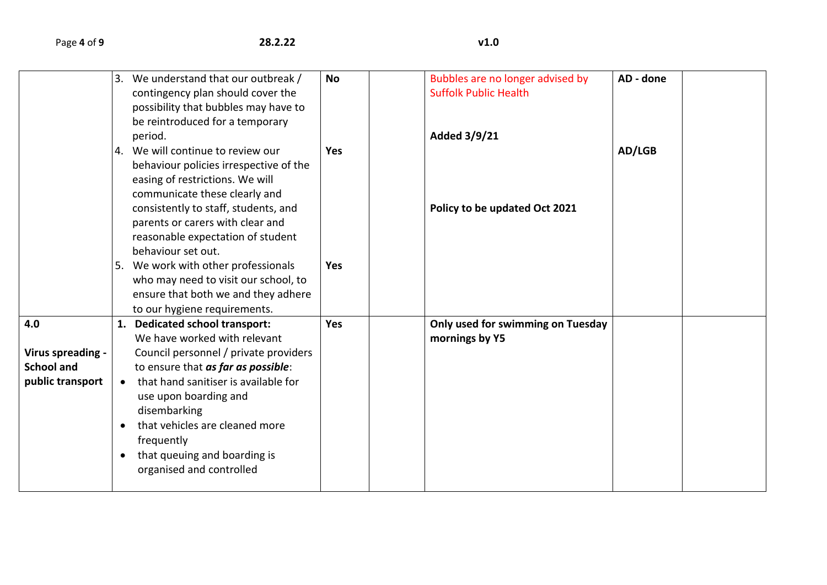|                                                                   |                                     | 3. We understand that our outbreak /<br>contingency plan should cover the<br>possibility that bubbles may have to<br>be reintroduced for a temporary<br>period.                                                                                                                                                                            | <b>No</b>  | Bubbles are no longer advised by<br><b>Suffolk Public Health</b><br>Added 3/9/21 | AD - done |
|-------------------------------------------------------------------|-------------------------------------|--------------------------------------------------------------------------------------------------------------------------------------------------------------------------------------------------------------------------------------------------------------------------------------------------------------------------------------------|------------|----------------------------------------------------------------------------------|-----------|
|                                                                   |                                     | 4. We will continue to review our<br>behaviour policies irrespective of the<br>easing of restrictions. We will<br>communicate these clearly and                                                                                                                                                                                            | <b>Yes</b> |                                                                                  | AD/LGB    |
|                                                                   |                                     | consistently to staff, students, and<br>parents or carers with clear and<br>reasonable expectation of student<br>behaviour set out.                                                                                                                                                                                                        |            | Policy to be updated Oct 2021                                                    |           |
|                                                                   |                                     | 5. We work with other professionals<br>who may need to visit our school, to<br>ensure that both we and they adhere<br>to our hygiene requirements.                                                                                                                                                                                         | <b>Yes</b> |                                                                                  |           |
| 4.0<br>Virus spreading -<br><b>School and</b><br>public transport | $\bullet$<br>$\bullet$<br>$\bullet$ | 1. Dedicated school transport:<br>We have worked with relevant<br>Council personnel / private providers<br>to ensure that as far as possible:<br>that hand sanitiser is available for<br>use upon boarding and<br>disembarking<br>that vehicles are cleaned more<br>frequently<br>that queuing and boarding is<br>organised and controlled | Yes        | Only used for swimming on Tuesday<br>mornings by Y5                              |           |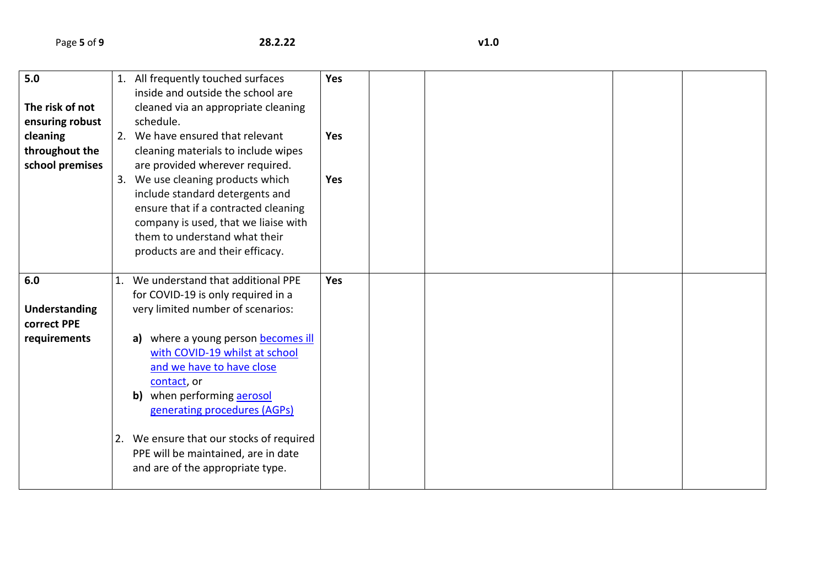| 5.0             | 1. All frequently touched surfaces       | Yes        |  |  |
|-----------------|------------------------------------------|------------|--|--|
|                 | inside and outside the school are        |            |  |  |
| The risk of not | cleaned via an appropriate cleaning      |            |  |  |
| ensuring robust | schedule.                                |            |  |  |
| cleaning        | 2. We have ensured that relevant         | <b>Yes</b> |  |  |
| throughout the  | cleaning materials to include wipes      |            |  |  |
| school premises | are provided wherever required.          |            |  |  |
|                 | 3. We use cleaning products which        | Yes        |  |  |
|                 | include standard detergents and          |            |  |  |
|                 | ensure that if a contracted cleaning     |            |  |  |
|                 | company is used, that we liaise with     |            |  |  |
|                 | them to understand what their            |            |  |  |
|                 | products are and their efficacy.         |            |  |  |
|                 |                                          |            |  |  |
| 6.0             | 1. We understand that additional PPE     | Yes        |  |  |
|                 | for COVID-19 is only required in a       |            |  |  |
| Understanding   | very limited number of scenarios:        |            |  |  |
| correct PPE     |                                          |            |  |  |
| requirements    | a) where a young person becomes ill      |            |  |  |
|                 | with COVID-19 whilst at school           |            |  |  |
|                 | and we have to have close                |            |  |  |
|                 | contact, or                              |            |  |  |
|                 | when performing aerosol<br>b)            |            |  |  |
|                 | generating procedures (AGPs)             |            |  |  |
|                 |                                          |            |  |  |
|                 | 2. We ensure that our stocks of required |            |  |  |
|                 | PPE will be maintained, are in date      |            |  |  |
|                 | and are of the appropriate type.         |            |  |  |
|                 |                                          |            |  |  |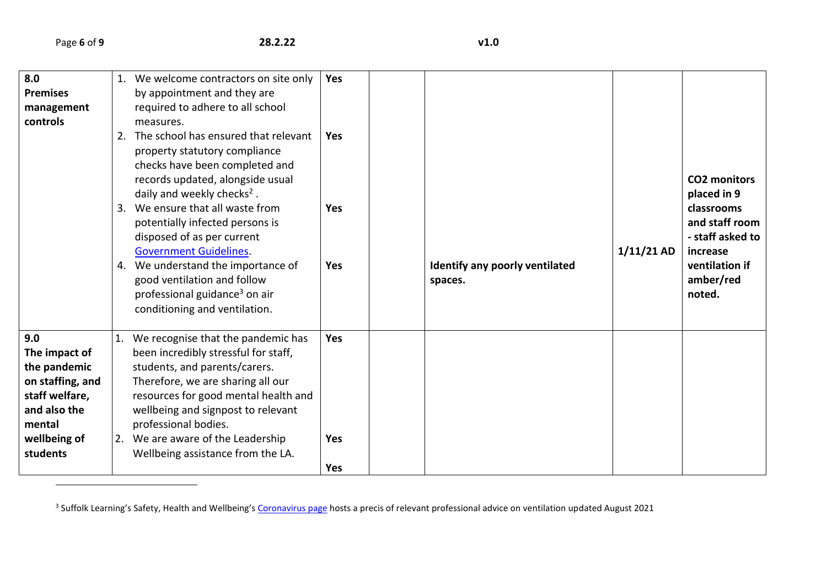$\overline{\phantom{a}}$ 

| 8.0<br><b>Premises</b><br>management<br>controls                                                                                 | 1. | We welcome contractors on site only<br>by appointment and they are<br>required to adhere to all school<br>measures.<br>2. The school has ensured that relevant<br>property statutory compliance<br>checks have been completed and<br>records updated, alongside usual<br>daily and weekly checks <sup>2</sup> .<br>3. We ensure that all waste from<br>potentially infected persons is<br>disposed of as per current<br><b>Government Guidelines.</b><br>4. We understand the importance of<br>good ventilation and follow<br>professional guidance <sup>3</sup> on air<br>conditioning and ventilation. | Yes<br><b>Yes</b><br><b>Yes</b><br><b>Yes</b> | Identify any poorly ventilated<br>spaces. | $1/11/21$ AD | <b>CO2 monitors</b><br>placed in 9<br>classrooms<br>and staff room<br>- staff asked to<br>increase<br>ventilation if<br>amber/red<br>noted. |
|----------------------------------------------------------------------------------------------------------------------------------|----|----------------------------------------------------------------------------------------------------------------------------------------------------------------------------------------------------------------------------------------------------------------------------------------------------------------------------------------------------------------------------------------------------------------------------------------------------------------------------------------------------------------------------------------------------------------------------------------------------------|-----------------------------------------------|-------------------------------------------|--------------|---------------------------------------------------------------------------------------------------------------------------------------------|
| 9.0<br>The impact of<br>the pandemic<br>on staffing, and<br>staff welfare,<br>and also the<br>mental<br>wellbeing of<br>students | 1. | We recognise that the pandemic has<br>been incredibly stressful for staff,<br>students, and parents/carers.<br>Therefore, we are sharing all our<br>resources for good mental health and<br>wellbeing and signpost to relevant<br>professional bodies.<br>2. We are aware of the Leadership<br>Wellbeing assistance from the LA.                                                                                                                                                                                                                                                                         | Yes<br><b>Yes</b><br>Yes                      |                                           |              |                                                                                                                                             |

<sup>&</sup>lt;sup>3</sup> Suffolk Learning's Safety, Health and Wellbeing's <u>[Coronavirus page](https://www.suffolklearning.co.uk/leadership-staff-development/health-safety-wellbeing/coronavirus:-covid-19)</u> hosts a precis of relevant professional advice on ventilation updated August 2021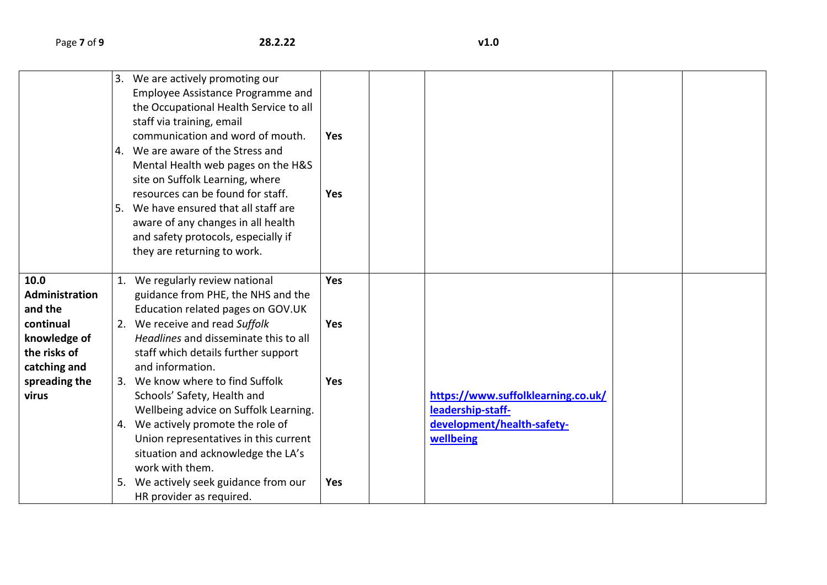|                       |    | 3. We are actively promoting our       |            |                                    |  |
|-----------------------|----|----------------------------------------|------------|------------------------------------|--|
|                       |    | Employee Assistance Programme and      |            |                                    |  |
|                       |    | the Occupational Health Service to all |            |                                    |  |
|                       |    | staff via training, email              |            |                                    |  |
|                       |    | communication and word of mouth.       | <b>Yes</b> |                                    |  |
|                       |    | 4. We are aware of the Stress and      |            |                                    |  |
|                       |    | Mental Health web pages on the H&S     |            |                                    |  |
|                       |    | site on Suffolk Learning, where        |            |                                    |  |
|                       |    | resources can be found for staff.      | Yes        |                                    |  |
|                       | 5. | We have ensured that all staff are     |            |                                    |  |
|                       |    | aware of any changes in all health     |            |                                    |  |
|                       |    | and safety protocols, especially if    |            |                                    |  |
|                       |    | they are returning to work.            |            |                                    |  |
|                       |    |                                        |            |                                    |  |
| 10.0                  |    | We regularly review national           | <b>Yes</b> |                                    |  |
| <b>Administration</b> |    | guidance from PHE, the NHS and the     |            |                                    |  |
| and the               |    | Education related pages on GOV.UK      |            |                                    |  |
| continual             |    | 2. We receive and read Suffolk         | <b>Yes</b> |                                    |  |
|                       |    | Headlines and disseminate this to all  |            |                                    |  |
| knowledge of          |    |                                        |            |                                    |  |
| the risks of          |    | staff which details further support    |            |                                    |  |
| catching and          |    | and information.                       |            |                                    |  |
| spreading the         |    | 3. We know where to find Suffolk       | Yes        |                                    |  |
| virus                 |    | Schools' Safety, Health and            |            | https://www.suffolklearning.co.uk/ |  |
|                       |    | Wellbeing advice on Suffolk Learning.  |            | leadership-staff-                  |  |
|                       |    | 4. We actively promote the role of     |            | development/health-safety-         |  |
|                       |    | Union representatives in this current  |            | wellbeing                          |  |
|                       |    | situation and acknowledge the LA's     |            |                                    |  |
|                       |    | work with them.                        |            |                                    |  |
|                       |    | We actively seek guidance from our     | Yes        |                                    |  |
|                       |    | HR provider as required.               |            |                                    |  |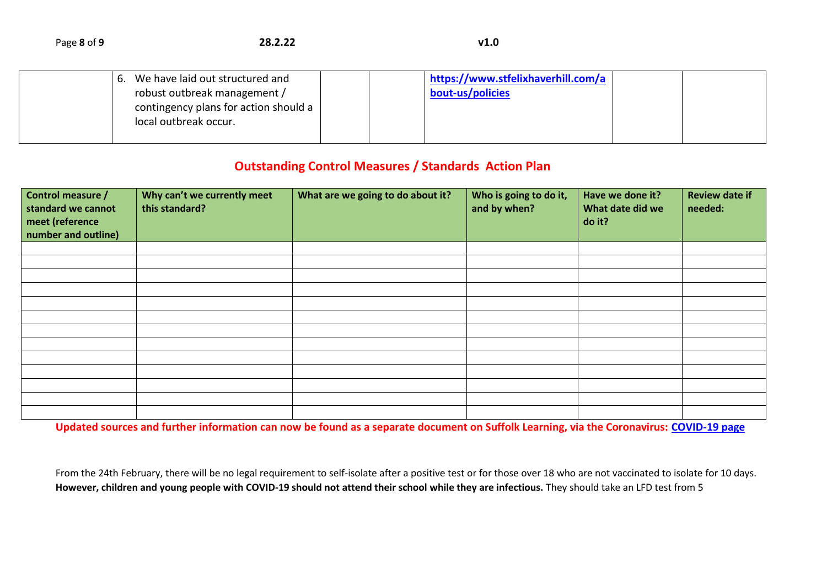| Page 8 of 9 | 28.2.22 | v1.0 |
|-------------|---------|------|
|-------------|---------|------|

|  | 6. We have laid out structured and    |  | https://www.stfelixhaverhill.com/a |  |
|--|---------------------------------------|--|------------------------------------|--|
|  | robust outbreak management /          |  | bout-us/policies                   |  |
|  | contingency plans for action should a |  |                                    |  |
|  | local outbreak occur.                 |  |                                    |  |
|  |                                       |  |                                    |  |

## **Outstanding Control Measures / Standards Action Plan**

| Control measure /<br>standard we cannot<br>meet (reference<br>number and outline) | Why can't we currently meet<br>this standard? | What are we going to do about it? | Who is going to do it,<br>and by when? | Have we done it?<br>What date did we<br>do it? | <b>Review date if</b><br>needed: |
|-----------------------------------------------------------------------------------|-----------------------------------------------|-----------------------------------|----------------------------------------|------------------------------------------------|----------------------------------|
|                                                                                   |                                               |                                   |                                        |                                                |                                  |
|                                                                                   |                                               |                                   |                                        |                                                |                                  |
|                                                                                   |                                               |                                   |                                        |                                                |                                  |
|                                                                                   |                                               |                                   |                                        |                                                |                                  |
|                                                                                   |                                               |                                   |                                        |                                                |                                  |
|                                                                                   |                                               |                                   |                                        |                                                |                                  |
|                                                                                   |                                               |                                   |                                        |                                                |                                  |
|                                                                                   |                                               |                                   |                                        |                                                |                                  |
|                                                                                   |                                               |                                   |                                        |                                                |                                  |
|                                                                                   |                                               |                                   |                                        |                                                |                                  |
|                                                                                   |                                               |                                   |                                        |                                                |                                  |
|                                                                                   |                                               |                                   |                                        |                                                |                                  |
|                                                                                   |                                               |                                   |                                        |                                                |                                  |

**Updated sources and further information can now be found as a separate document on Suffolk Learning, via the Coronavirus: [COVID-19 page](https://www.suffolklearning.co.uk/leadership-staff-development/health-safety-wellbeing/coronavirus:-covid-19)**

From the 24th February, there will be no legal requirement to self-isolate after a positive test or for those over 18 who are not vaccinated to isolate for 10 days. **However, children and young people with COVID-19 should not attend their school while they are infectious.** They should take an LFD test from 5